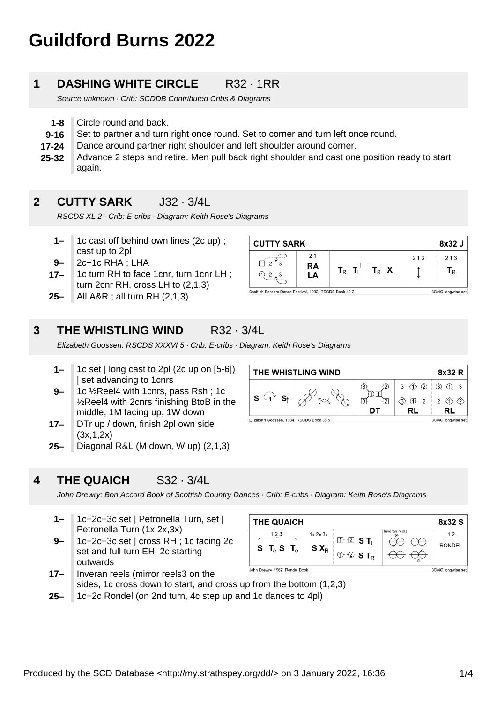# **Guildford Burns 2022**

#### **1 DASHING WHITE CIRCLE** R32 · 1RR

Source unknown · Crib: SCDDB Contributed Cribs & Diagrams

- **1-8** Circle round and back.
- **9-16** Set to partner and turn right once round. Set to corner and turn left once round.
- **17-24** Dance around partner right shoulder and left shoulder around corner.
- **25-32** Advance 2 steps and retire. Men pull back right shoulder and cast one position ready to start again.

#### **2 CUTTY SARK** J32 · 3/4L

RSCDS XL 2 · Crib: E-cribs · Diagram: Keith Rose's Diagrams

- **1–** 1c cast off behind own lines (2c up) ; cast up to 2pl
- **9–** 2c+1c RHA ; LHA
- **17–** 1c turn RH to face 1cnr, turn 1cnr LH ; turn 2cnr RH, cross LH to (2,1,3)
- **25–** All A&R ; all turn RH (2,1,3)

| <b>CUTTY SARK</b><br>8x32 J                            |                       |                                        |     |           |  |  |
|--------------------------------------------------------|-----------------------|----------------------------------------|-----|-----------|--|--|
| ົ                                                      | 21<br><b>RA</b><br>LA | $T_R$ $X_I$<br>$T_{\rm R}$ $T_{\rm L}$ | 213 | 213<br>Тĸ |  |  |
| Scottish Borders Dance Festival, 1992, RSCDS Book 40.2 |                       | 3C/4C longwise set.                    |     |           |  |  |

#### **3 THE WHISTLING WIND** R32 · 3/4L

Elizabeth Goossen: RSCDS XXXVI 5 · Crib: E-cribs · Diagram: Keith Rose's Diagrams

- **1–** 1c set | long cast to 2pl (2c up on [5-6]) | set advancing to 1cnrs
- **9–** 1c ½Reel4 with 1cnrs, pass Rsh ; 1c ½Reel4 with 2cnrs finishing BtoB in the middle, 1M facing up, 1W down
- **17–** DTr up / down, finish 2pl own side (3x,1,2x)
- **25–** Diagonal R&L (M down, W up) (2,1,3)

#### **4 THE QUAICH** S32 · 3/4L

John Drewry: Bon Accord Book of Scottish Country Dances · Crib: E-cribs · Diagram: Keith Rose's Diagrams

- **1–** 1c+2c+3c set | Petronella Turn, set | Petronella Turn (1x,2x,3x)
- **9–** 1c+2c+3c set | cross RH ; 1c facing 2c set and full turn EH, 2c starting outwards



- **17–** Inveran reels (mirror reels3 on the sides, 1c cross down to start, and cross up from the bottom (1,2,3)
- **25–** 1c+2c Rondel (on 2nd turn, 4c step up and 1c dances to 4pl)

 $S^{(1)} S$ **お田** 2 2  $\langle \hat{1} \rangle$   $\langle \hat{2} \rangle$ DT  $R<sub>L</sub>$  $R_{\text{L}}$ Elizabeth Goossen, 1984, RSCDS Book 36.5 3C/4C longwise set.

THE WHISTLING WIND

8x32 R

3 1 3

 $3 \left\langle \uparrow \right\rangle$  2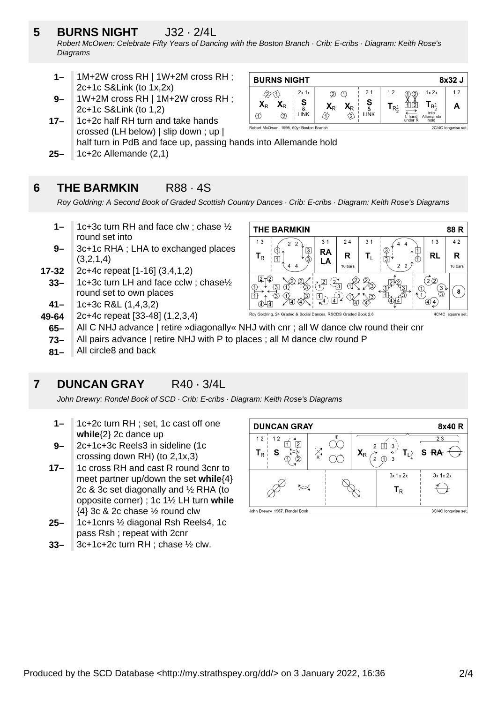## **5 BURNS NIGHT** J32 · 2/4L

Robert McOwen: Celebrate Fifty Years of Dancing with the Boston Branch · Crib: E-cribs · Diagram: Keith Rose's **Diagrams** 

- **1–** 1M+2W cross RH | 1W+2M cross RH ; 2c+1c S&Link (to 1x,2x)
- **9–** 1W+2M cross RH | 1M+2W cross RH ; 2c+1c S&Link (to 1,2)
- **17–** 1c+2c half RH turn and take hands crossed (LH below) | slip down ; up | half turn in PdB and face up, passing hands into Allemande hold
- **25–** 1c+2c Allemande (2,1)

#### **6 THE BARMKIN** R88 · 4S

Roy Goldring: A Second Book of Graded Scottish Country Dances · Crib: E-cribs · Diagram: Keith Rose's Diagrams

 $13$ 

 $\mathbf{T}_{\mathsf{R}}$ 

 $2\sqrt{2}$ 

Roy Goldring, 24 Grad

**THE BARMKIN** 

 $\overline{1}$ 

 $3<sub>1</sub>$ 

**RA** 

LA

**es. RSCDS Gra** 

 $\overline{3}$ 

 $24$ 

 $\mathsf{R}$ 

16 hars

 $3<sub>1</sub>$ 

 $T_L$ 

- **1–** 1c+3c turn RH and face clw ; chase ½ round set into
- **9–** 3c+1c RHA ; LHA to exchanged places (3,2,1,4)
- **17-32** 2c+4c repeat [1-16] (3,4,1,2)
- **33–** 1c+3c turn LH and face cclw ; chase½ round set to own places
- **41–** 1c+3c R&L (1,4,3,2)
- **49-64** 2c+4c repeat [33-48] (1,2,3,4)
	- **65–** All C NHJ advance | retire »diagonally« NHJ with cnr ; all W dance clw round their cnr
	- **73–** All pairs advance | retire NHJ with P to places ; all M dance clw round P
	- **81–** All circle8 and back

#### **7 DUNCAN GRAY** R40 · 3/4L

John Drewry: Rondel Book of SCD · Crib: E-cribs · Diagram: Keith Rose's Diagrams

- **1–** 1c+2c turn RH ; set, 1c cast off one **while**{2} 2c dance up
- **9–** 2c+1c+3c Reels3 in sideline (1c crossing down RH) (to 2,1x,3)
- **17–** 1c cross RH and cast R round 3cnr to meet partner up/down the set **while**{4} 2c & 3c set diagonally and ½ RHA (to opposite corner) ; 1c 1½ LH turn **while** {4} 3c & 2c chase ½ round clw
- **25–** 1c+1cnrs ½ diagonal Rsh Reels4, 1c pass Rsh ; repeat with 2cnr
- **33–** 3c+1c+2c turn RH ; chase ½ clw.



88 R

42

R

16 hars

 $\bf{8}$ 

 $13$ 

**RL** 

(20

গি  $\left(\overline{4}\right)4$ 

4C/4C square set.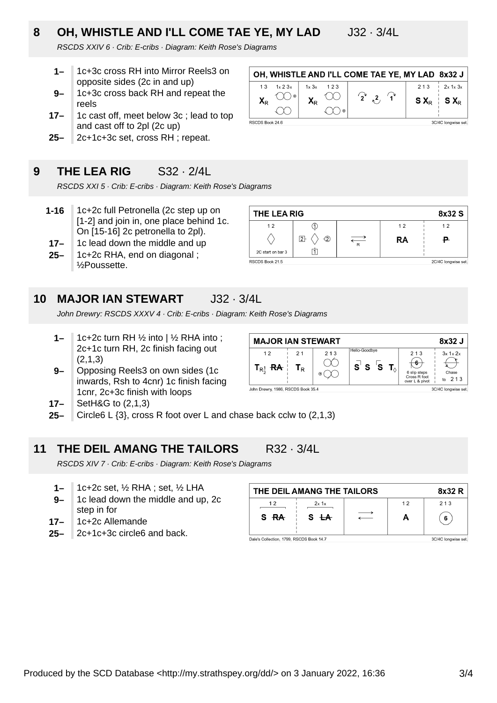# **8 OH, WHISTLE AND I'LL COME TAE YE, MY LAD** J32 · 3/4L

RSCDS XXIV 6 · Crib: E-cribs · Diagram: Keith Rose's Diagrams

- **1–** 1c+3c cross RH into Mirror Reels3 on opposite sides (2c in and up)
- **9–** 1c+3c cross back RH and repeat the reels
- **17–** 1c cast off, meet below 3c ; lead to top and cast off to 2pl (2c up)
- **25–** 2c+1c+3c set, cross RH ; repeat.

#### **9 THE LEA RIG** S32 · 2/4L

RSCDS XXI 5 · Crib: E-cribs · Diagram: Keith Rose's Diagrams

- **1-16** 1c+2c full Petronella (2c step up on [1-2] and join in, one place behind 1c. On [15-16] 2c petronella to 2pl).
- **17–** 1c lead down the middle and up
- **25–** 1c+2c RHA, end on diagonal ; ½Poussette.



#### **10 MAJOR IAN STEWART** J32 · 3/4L

John Drewry: RSCDS XXXV 4 · Crib: E-cribs · Diagram: Keith Rose's Diagrams

- **1–** 1c+2c turn RH  $\frac{1}{2}$  into |  $\frac{1}{2}$  RHA into; 2c+1c turn RH, 2c finish facing out (2,1,3)
- **9–** Opposing Reels3 on own sides (1c inwards, Rsh to 4cnr) 1c finish facing 1cnr, 2c+3c finish with loops

| <b>MAJOR IAN STEWART</b>           |       |     |               |                                                | 8x32 J              |
|------------------------------------|-------|-----|---------------|------------------------------------------------|---------------------|
| 12                                 | 21    | 213 | Hello-Goodbve | 213                                            | $3x$ 1x $2x$        |
| $T_{R_2^1}$ RA $\parallel$         | $T_R$ | ⊙   | $S' S'S T_0'$ | 6 slip steps<br>Cross R foot<br>over L & pivot | Chase<br>to $213$   |
| John Drewry, 1986, RSCDS Book 35.4 |       |     |               |                                                | 3C/4C longwise set. |

- **17–** SetH&G to (2,1,3)
- **25–** Circle6 L {3}, cross R foot over L and chase back cclw to (2,1,3)

#### **11 THE DEIL AMANG THE TAILORS** R32 · 3/4L

RSCDS XIV 7 · Crib: E-cribs · Diagram: Keith Rose's Diagrams

- **1–** 1c+2c set, ½ RHA ; set, ½ LHA
- **9–** 1c lead down the middle and up, 2c step in for
- **17–** 1c+2c Allemande
- **25–** 2c+1c+3c circle6 and back.

| THE DEIL AMANG THE TAILORS               | 8x32 R     |                     |    |     |
|------------------------------------------|------------|---------------------|----|-----|
| 12                                       | $2x$ 1 $x$ |                     | 12 | 213 |
| S <del>RA</del>                          | $S \pm A$  |                     | A  | 6   |
| Dale's Collection, 1799, RSCDS Book 14.7 |            | 3C/4C longwise set. |    |     |